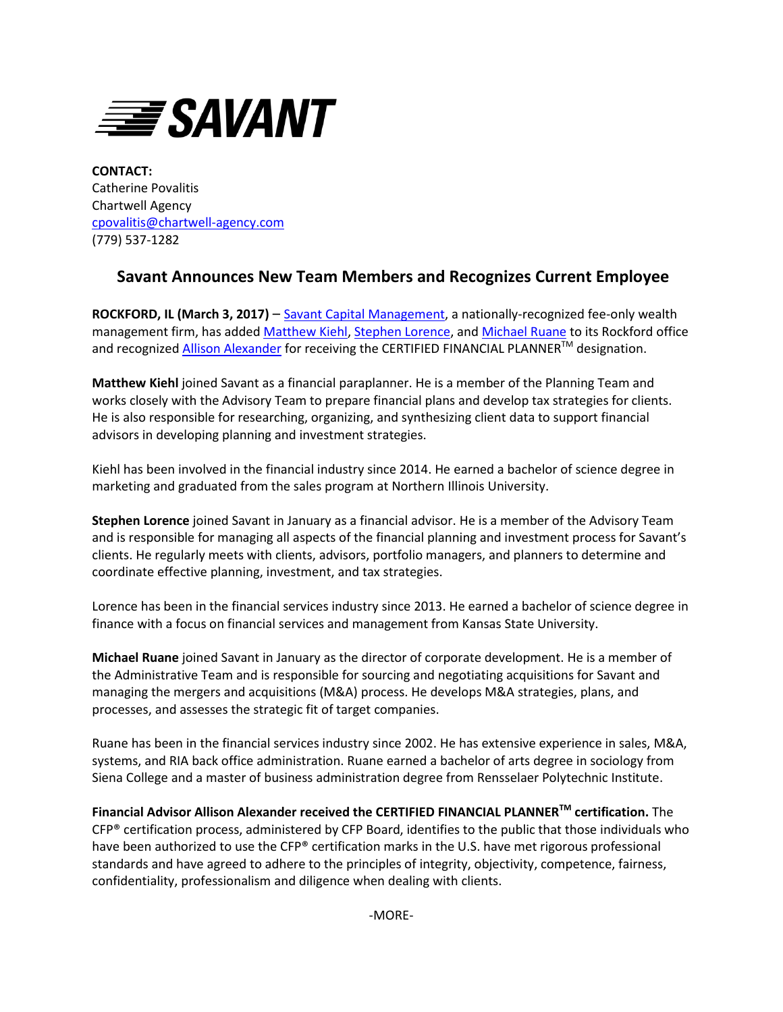

**CONTACT:** Catherine Povalitis Chartwell Agency [cpovalitis@chartwell-agency.com](mailto:cpovalitis@chartwell-agency.com) (779) 537-1282

## **Savant Announces New Team Members and Recognizes Current Employee**

**ROCKFORD, IL (March 3, 2017)** – [Savant Capital Management,](http://www.savantcapital.com/) a nationally-recognized fee-only wealth management firm, has added [Matthew Kiehl,](https://www.savantcapital.com/team-member/Matthew-H.-Kiehl) [Stephen Lorence,](https://www.savantcapital.com/team-member/Stephen-C.-Lorence) and [Michael Ruane](https://www.savantcapital.com/team-member/Michael-V.-Ruane) to its Rockford office and recognized **[Allison Alexander](https://www.savantcapital.com/team-member/Allison-A.-Alexander)** for receiving the CERTIFIED FINANCIAL PLANNER™ designation.

**Matthew Kiehl** joined Savant as a financial paraplanner. He is a member of the Planning Team and works closely with the Advisory Team to prepare financial plans and develop tax strategies for clients. He is also responsible for researching, organizing, and synthesizing client data to support financial advisors in developing planning and investment strategies.

Kiehl has been involved in the financial industry since 2014. He earned a bachelor of science degree in marketing and graduated from the sales program at Northern Illinois University.

**Stephen Lorence** joined Savant in January as a financial advisor. He is a member of the Advisory Team and is responsible for managing all aspects of the financial planning and investment process for Savant's clients. He regularly meets with clients, advisors, portfolio managers, and planners to determine and coordinate effective planning, investment, and tax strategies.

Lorence has been in the financial services industry since 2013. He earned a bachelor of science degree in finance with a focus on financial services and management from Kansas State University.

**Michael Ruane** joined Savant in January as the director of corporate development. He is a member of the Administrative Team and is responsible for sourcing and negotiating acquisitions for Savant and managing the mergers and acquisitions (M&A) process. He develops M&A strategies, plans, and processes, and assesses the strategic fit of target companies.

Ruane has been in the financial services industry since 2002. He has extensive experience in sales, M&A, systems, and RIA back office administration. Ruane earned a bachelor of arts degree in sociology from Siena College and a master of business administration degree from Rensselaer Polytechnic Institute.

**Financial Advisor Allison Alexander received the CERTIFIED FINANCIAL PLANNERTM certification.** The CFP® certification process, administered by CFP Board, identifies to the public that those individuals who have been authorized to use the CFP® certification marks in the U.S. have met rigorous professional standards and have agreed to adhere to the principles of integrity, objectivity, competence, fairness, confidentiality, professionalism and diligence when dealing with clients.